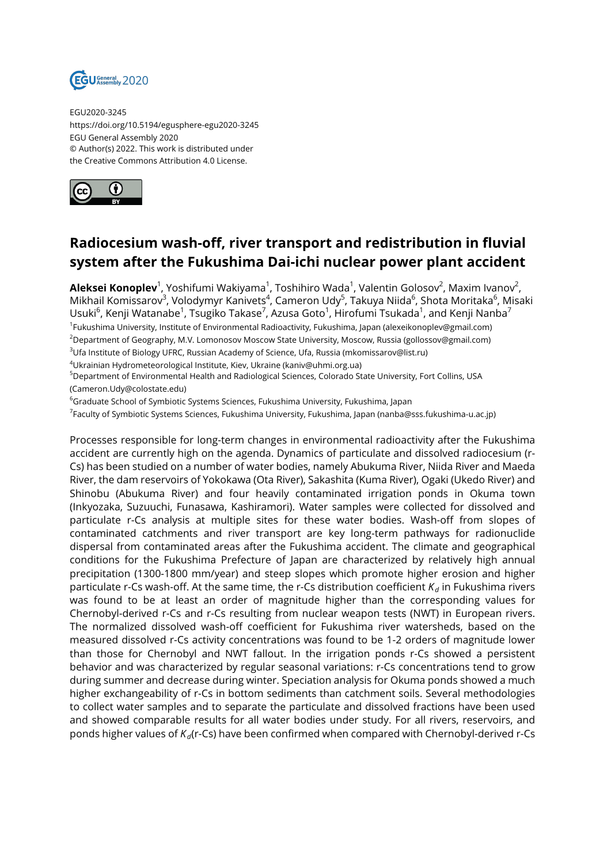

EGU2020-3245 https://doi.org/10.5194/egusphere-egu2020-3245 EGU General Assembly 2020 © Author(s) 2022. This work is distributed under the Creative Commons Attribution 4.0 License.



## **Radiocesium wash-off, river transport and redistribution in fluvial system after the Fukushima Dai-ichi nuclear power plant accident**

**Aleksei Konoplev**<sup>1</sup>, Yoshifumi Wakiyama<sup>1</sup>, Toshihiro Wada<sup>1</sup>, Valentin Golosov<sup>2</sup>, Maxim Ivanov<sup>2</sup>, Mikhail Komissarov<sup>3</sup>, Volodymyr Kanivets<sup>4</sup>, Cameron Udy<sup>5</sup>, Takuya Niida<sup>6</sup>, Shota Moritaka<sup>6</sup>, Misaki Usuki $^6$ , Kenji Watanabe $^1$ , Tsugiko Takase $^7$ , Azusa Goto $^1$ , Hirofumi Tsukada $^1$ , and Kenji Nanba $^7$ 1 Fukushima University, Institute of Environmental Radioactivity, Fukushima, Japan (alexeikonoplev@gmail.com) <sup>2</sup>Department of Geography, M.V. Lomonosov Moscow State University, Moscow, Russia (gollossov@gmail.com) <sup>3</sup>Ufa Institute of Biology UFRC, Russian Academy of Science, Ufa, Russia (mkomissarov@list.ru)

<sup>4</sup>Ukrainian Hydrometeorological Institute, Kiev, Ukraine (kaniv@uhmi.org.ua)

<sup>5</sup>Department of Environmental Health and Radiological Sciences, Colorado State University, Fort Collins, USA (Cameron.Udy@colostate.edu)

<sup>6</sup>Graduate School of Symbiotic Systems Sciences, Fukushima University, Fukushima, Japan

<sup>7</sup>Faculty of Symbiotic Systems Sciences, Fukushima University, Fukushima, Japan (nanba@sss.fukushima-u.ac.jp)

Processes responsible for long-term changes in environmental radioactivity after the Fukushima accident are currently high on the agenda. Dynamics of particulate and dissolved radiocesium (r-Cs) has been studied on a number of water bodies, namely Abukuma River, Niida River and Maeda River, the dam reservoirs of Yokokawa (Ota River), Sakashita (Kuma River), Ogaki (Ukedo River) and Shinobu (Abukuma River) and four heavily contaminated irrigation ponds in Okuma town (Inkyozaka, Suzuuchi, Funasawa, Kashiramori). Water samples were collected for dissolved and particulate r-Cs analysis at multiple sites for these water bodies. Wash-off from slopes of contaminated catchments and river transport are key long-term pathways for radionuclide dispersal from contaminated areas after the Fukushima accident. The climate and geographical conditions for the Fukushima Prefecture of Japan are characterized by relatively high annual precipitation (1300-1800 mm/year) and steep slopes which promote higher erosion and higher particulate r-Cs wash-off. At the same time, the r-Cs distribution coefficient  $K_d$  in Fukushima rivers was found to be at least an order of magnitude higher than the corresponding values for Chernobyl-derived r-Cs and r-Cs resulting from nuclear weapon tests (NWT) in European rivers. The normalized dissolved wash-off coefficient for Fukushima river watersheds, based on the measured dissolved r-Cs activity concentrations was found to be 1-2 orders of magnitude lower than those for Chernobyl and NWT fallout. In the irrigation ponds r-Cs showed a persistent behavior and was characterized by regular seasonal variations: r-Cs concentrations tend to grow during summer and decrease during winter. Speciation analysis for Okuma ponds showed a much higher exchangeability of r-Cs in bottom sediments than catchment soils. Several methodologies to collect water samples and to separate the particulate and dissolved fractions have been used and showed comparable results for all water bodies under study. For all rivers, reservoirs, and ponds higher values of *Kd*(r-Cs) have been confirmed when compared with Chernobyl-derived r-Cs